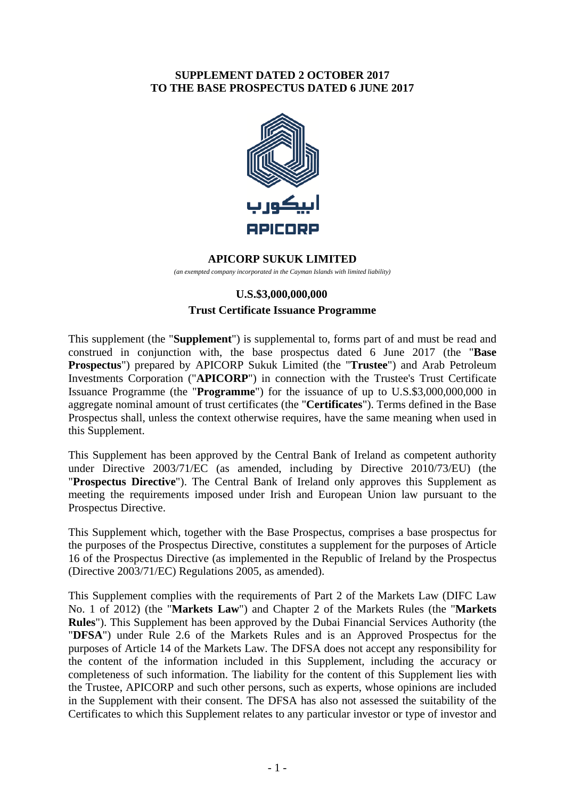### **SUPPLEMENT DATED 2 OCTOBER 2017 TO THE BASE PROSPECTUS DATED 6 JUNE 2017**



#### **APICORP SUKUK LIMITED**

*(an exempted company incorporated in the Cayman Islands with limited liability)* 

# **U.S.\$3,000,000,000 Trust Certificate Issuance Programme**

This supplement (the "**Supplement**") is supplemental to, forms part of and must be read and construed in conjunction with, the base prospectus dated 6 June 2017 (the "**Base Prospectus**") prepared by APICORP Sukuk Limited (the "**Trustee**") and Arab Petroleum Investments Corporation ("**APICORP**") in connection with the Trustee's Trust Certificate Issuance Programme (the "**Programme**") for the issuance of up to U.S.\$3,000,000,000 in aggregate nominal amount of trust certificates (the "**Certificates**"). Terms defined in the Base Prospectus shall, unless the context otherwise requires, have the same meaning when used in this Supplement.

This Supplement has been approved by the Central Bank of Ireland as competent authority under Directive 2003/71/EC (as amended, including by Directive 2010/73/EU) (the "**Prospectus Directive**"). The Central Bank of Ireland only approves this Supplement as meeting the requirements imposed under Irish and European Union law pursuant to the Prospectus Directive.

This Supplement which, together with the Base Prospectus, comprises a base prospectus for the purposes of the Prospectus Directive, constitutes a supplement for the purposes of Article 16 of the Prospectus Directive (as implemented in the Republic of Ireland by the Prospectus (Directive 2003/71/EC) Regulations 2005, as amended).

This Supplement complies with the requirements of Part 2 of the Markets Law (DIFC Law No. 1 of 2012) (the "**Markets Law**") and Chapter 2 of the Markets Rules (the "**Markets Rules**"). This Supplement has been approved by the Dubai Financial Services Authority (the "**DFSA**") under Rule 2.6 of the Markets Rules and is an Approved Prospectus for the purposes of Article 14 of the Markets Law. The DFSA does not accept any responsibility for the content of the information included in this Supplement, including the accuracy or completeness of such information. The liability for the content of this Supplement lies with the Trustee, APICORP and such other persons, such as experts, whose opinions are included in the Supplement with their consent. The DFSA has also not assessed the suitability of the Certificates to which this Supplement relates to any particular investor or type of investor and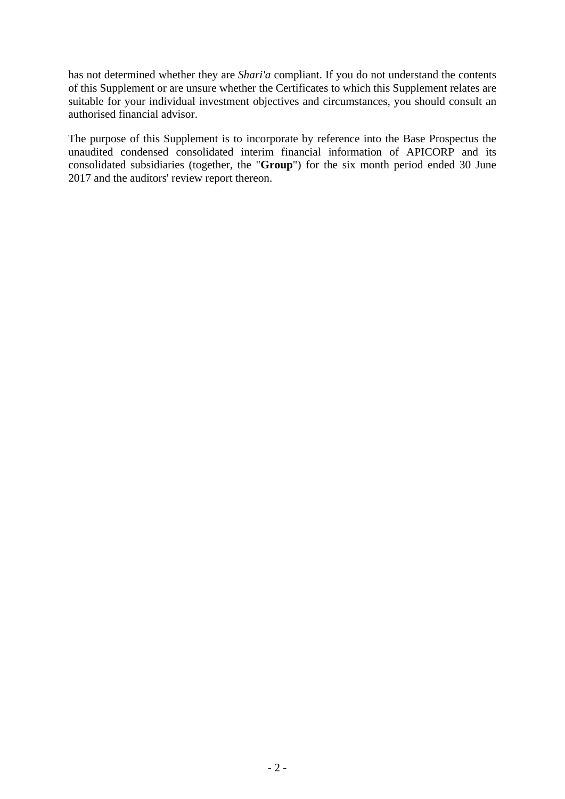has not determined whether they are *Shari'a* compliant. If you do not understand the contents of this Supplement or are unsure whether the Certificates to which this Supplement relates are suitable for your individual investment objectives and circumstances, you should consult an authorised financial advisor.

The purpose of this Supplement is to incorporate by reference into the Base Prospectus the unaudited condensed consolidated interim financial information of APICORP and its consolidated subsidiaries (together, the "**Group**") for the six month period ended 30 June 2017 and the auditors' review report thereon.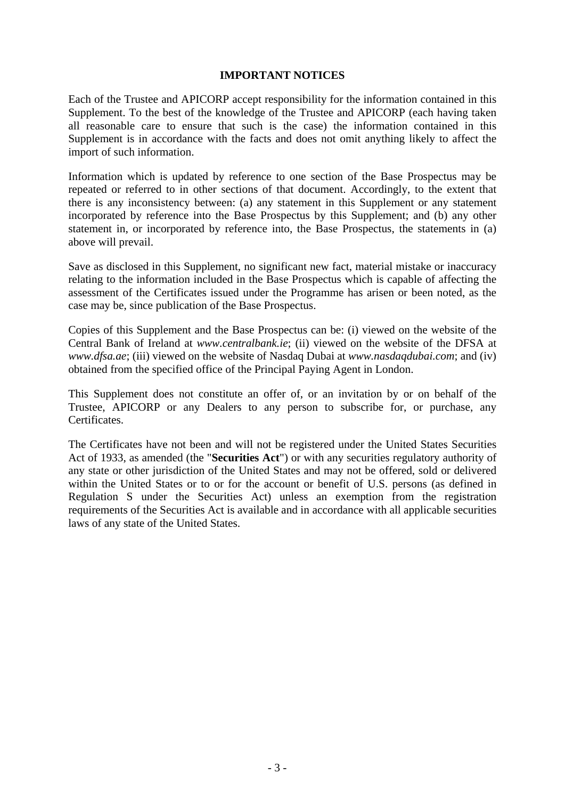#### **IMPORTANT NOTICES**

Each of the Trustee and APICORP accept responsibility for the information contained in this Supplement. To the best of the knowledge of the Trustee and APICORP (each having taken all reasonable care to ensure that such is the case) the information contained in this Supplement is in accordance with the facts and does not omit anything likely to affect the import of such information.

Information which is updated by reference to one section of the Base Prospectus may be repeated or referred to in other sections of that document. Accordingly, to the extent that there is any inconsistency between: (a) any statement in this Supplement or any statement incorporated by reference into the Base Prospectus by this Supplement; and (b) any other statement in, or incorporated by reference into, the Base Prospectus, the statements in (a) above will prevail.

Save as disclosed in this Supplement, no significant new fact, material mistake or inaccuracy relating to the information included in the Base Prospectus which is capable of affecting the assessment of the Certificates issued under the Programme has arisen or been noted, as the case may be, since publication of the Base Prospectus.

Copies of this Supplement and the Base Prospectus can be: (i) viewed on the website of the Central Bank of Ireland at *www.centralbank.ie*; (ii) viewed on the website of the DFSA at *www.dfsa.ae*; (iii) viewed on the website of Nasdaq Dubai at *www.nasdaqdubai.com*; and (iv) obtained from the specified office of the Principal Paying Agent in London.

This Supplement does not constitute an offer of, or an invitation by or on behalf of the Trustee, APICORP or any Dealers to any person to subscribe for, or purchase, any Certificates.

The Certificates have not been and will not be registered under the United States Securities Act of 1933, as amended (the "**Securities Act**") or with any securities regulatory authority of any state or other jurisdiction of the United States and may not be offered, sold or delivered within the United States or to or for the account or benefit of U.S. persons (as defined in Regulation S under the Securities Act) unless an exemption from the registration requirements of the Securities Act is available and in accordance with all applicable securities laws of any state of the United States.